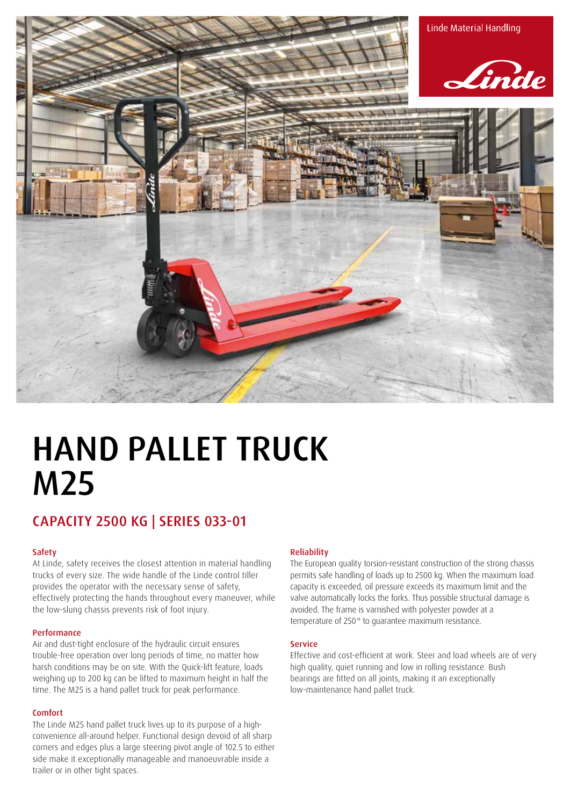

# HAND PALLET TRUCK M25

### CAPACITY 2500 KG | SERIES 033-01

### **Safety**

At Linde, safety receives the closest attention in material handling trucks of every size. The wide handle of the Linde control tiller provides the operator with the necessary sense of safety, effectively protecting the hands throughout every maneuver, while the low-slung chassis prevents risk of foot injury.

### Performance

Air and dust-tight enclosure of the hydraulic circuit ensures trouble-free operation over long periods of time, no matter how harsh conditions may be on site. With the Quick-lift feature, loads weighing up to 200 kg can be lifted to maximum height in half the time. The M25 is a hand pallet truck for peak performance.

### Comfort

The Linde M25 hand pallet truck lives up to its purpose of a highconvenience all-around helper. Functional design devoid of all sharp corners and edges plus a large steering pivot angle of 102.5 to either side make it exceptionally manageable and manoeuvrable inside a trailer or in other tight spaces.

### Reliability

The European quality torsion-resistant construction of the strong chassis permits safe handling of loads up to 2500 kg. When the maximum load capacity is exceeded, oil pressure exceeds its maximum limit and the valve automatically locks the forks. Thus possible structural damage is avoided. The frame is varnished with polyester powder at a temperature of 250° to guarantee maximum resistance.

#### **Service**

Effective and cost-efficient at work. Steer and load wheels are of very high quality, quiet running and low in rolling resistance. Bush bearings are fitted on all joints, making it an exceptionally low-maintenance hand pallet truck.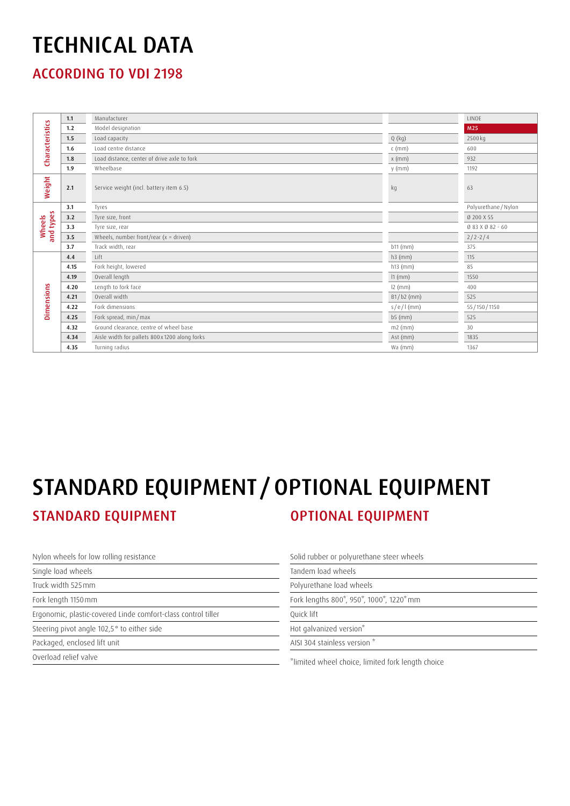### TECHNICAL DATA

ACCORDING TO VDI 2198

| <b>Characteristics</b> | 1.1  | Manufacturer                                 |              | LINDE                |
|------------------------|------|----------------------------------------------|--------------|----------------------|
|                        | 1.2  | Model designation                            |              | M25                  |
|                        | 1.5  | Load capacity                                | $Q$ (kg)     | 2500 kg              |
|                        | 1.6  | Load centre distance                         | $c$ (mm)     | 600                  |
|                        | 1.8  | Load distance, center of drive axle to fork  | $x$ (mm)     | 932                  |
|                        | 1.9  | Wheelbase                                    | $y$ (mm)     | 1192                 |
| Weight                 | 2.1  | Service weight (incl. battery item 6.5)      | kg           | 63                   |
| and types<br>Wheels    | 3.1  | Tyres                                        |              | Polyurethane / Nylon |
|                        | 3.2  | Tyre size, front                             |              | Ø 200 X 55           |
|                        | 3.3  | Tyre size, rear                              |              | Ø 83 X Ø 82 - 60     |
|                        | 3.5  | Wheels, number front/rear $(x =$ driven)     |              | $2/2 - 2/4$          |
|                        | 3.7  | Track width, rear                            | b11 (mm)     | 375                  |
| Dimensions             | 4.4  | Lift                                         | $h3$ (mm)    | 115                  |
|                        | 4.15 | Fork height, lowered                         | $h13$ (mm)   | 85                   |
|                        | 4.19 | Overall length                               | $11$ (mm)    | 1550                 |
|                        | 4.20 | Length to fork face                          | $12$ (mm)    | 400                  |
|                        | 4.21 | Overall width                                | $B1/b2$ (mm) | 525                  |
|                        | 4.22 | Fork dimensions                              | $s/e/I$ (mm) | 55/150/1150          |
|                        | 4.25 | Fork spread, min/max                         | $b5$ (mm)    | 525                  |
|                        | 4.32 | Ground clearance, centre of wheel base       | $m2$ (mm)    | 30                   |
|                        | 4.34 | Aisle width for pallets 800x1200 along forks | Ast (mm)     | 1835                 |
|                        | 4.35 | Turning radius                               | Wa (mm)      | 1367                 |

## STANDARD EQUIPMENT **STANDARD** CONTIONAL EQUIPMENT STANDARD EQUIPMENT /OPTIONAL EQUIPMENT

Nylon wheels for low rolling resistance

Single load wheels

Truck width 525mm

Fork length 1150mm

Ergonomic, plastic-covered Linde comfort-class control tiller

Steering pivot angle 102,5° to either side

Packaged, enclosed lift unit

Overload relief valve

Solid rubber or polyurethane steer wheels Tandem load wheels Polyurethane load wheels Fork lengths 800\*, 950\*, 1000\*, 1220\*mm Quick lift Hot galvanized version\* AISI 304 stainless version \*

\*limited wheel choice, limited fork length choice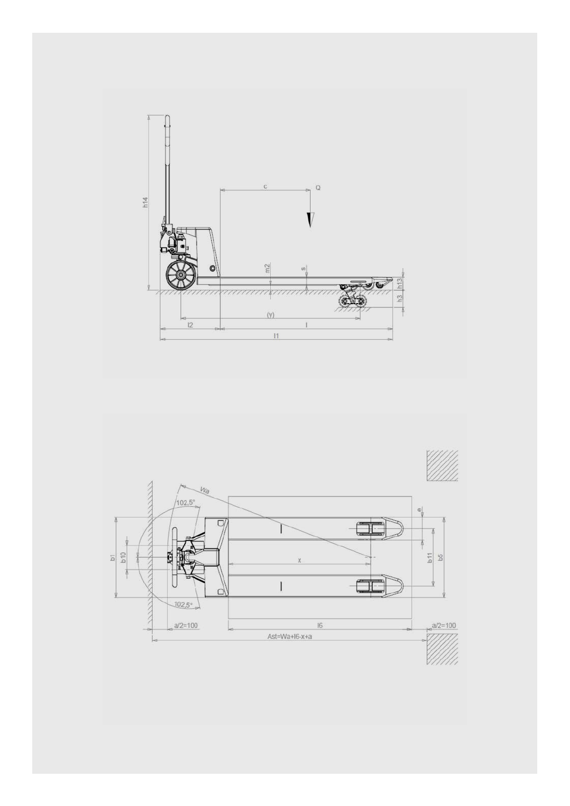